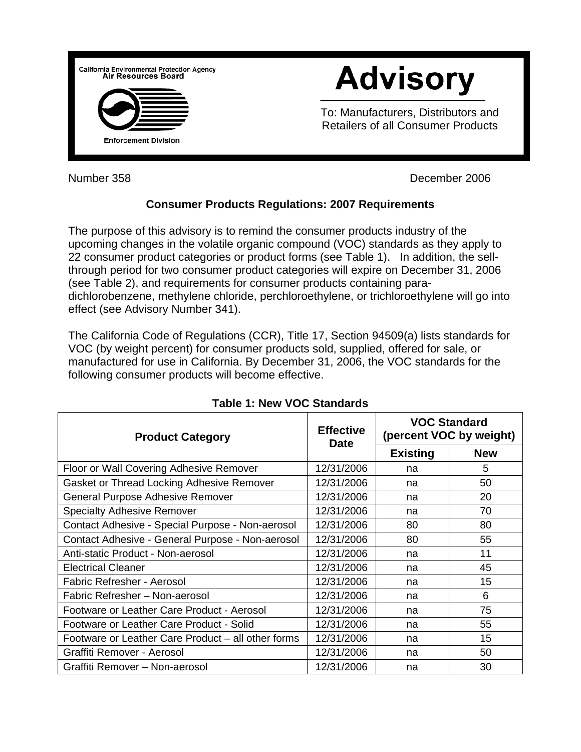

Number 358 **December 2006** 

## **Consumer Products Regulations: 2007 Requirements**

The purpose of this advisory is to remind the consumer products industry of the upcoming changes in the volatile organic compound (VOC) standards as they apply to 22 consumer product categories or product forms (see Table 1). In addition, the sellthrough period for two consumer product categories will expire on December 31, 2006 (see Table 2), and requirements for consumer products containing paradichlorobenzene, methylene chloride, perchloroethylene, or trichloroethylene will go into effect (see Advisory Number 341).

The California Code of Regulations (CCR), Title 17, Section 94509(a) lists standards for VOC (by weight percent) for consumer products sold, supplied, offered for sale, or manufactured for use in California. By December 31, 2006, the VOC standards for the following consumer products will become effective.

| <b>Product Category</b>                            | <b>Effective</b><br><b>Date</b> | <b>VOC Standard</b><br>(percent VOC by weight) |            |
|----------------------------------------------------|---------------------------------|------------------------------------------------|------------|
|                                                    |                                 | <b>Existing</b>                                | <b>New</b> |
| Floor or Wall Covering Adhesive Remover            | 12/31/2006                      | na                                             | 5          |
| Gasket or Thread Locking Adhesive Remover          | 12/31/2006                      | na                                             | 50         |
| General Purpose Adhesive Remover                   | 12/31/2006                      | na                                             | 20         |
| <b>Specialty Adhesive Remover</b>                  | 12/31/2006                      | na                                             | 70         |
| Contact Adhesive - Special Purpose - Non-aerosol   | 12/31/2006                      | 80                                             | 80         |
| Contact Adhesive - General Purpose - Non-aerosol   | 12/31/2006                      | 80                                             | 55         |
| Anti-static Product - Non-aerosol                  | 12/31/2006                      | na                                             | 11         |
| <b>Electrical Cleaner</b>                          | 12/31/2006                      | na                                             | 45         |
| Fabric Refresher - Aerosol                         | 12/31/2006                      | na                                             | 15         |
| Fabric Refresher - Non-aerosol                     | 12/31/2006                      | na                                             | 6          |
| Footware or Leather Care Product - Aerosol         | 12/31/2006                      | na                                             | 75         |
| Footware or Leather Care Product - Solid           | 12/31/2006                      | na                                             | 55         |
| Footware or Leather Care Product – all other forms | 12/31/2006                      | na                                             | 15         |
| Graffiti Remover - Aerosol                         | 12/31/2006                      | na                                             | 50         |
| Graffiti Remover - Non-aerosol                     | 12/31/2006                      | na                                             | 30         |

## **Table 1: New VOC Standards**